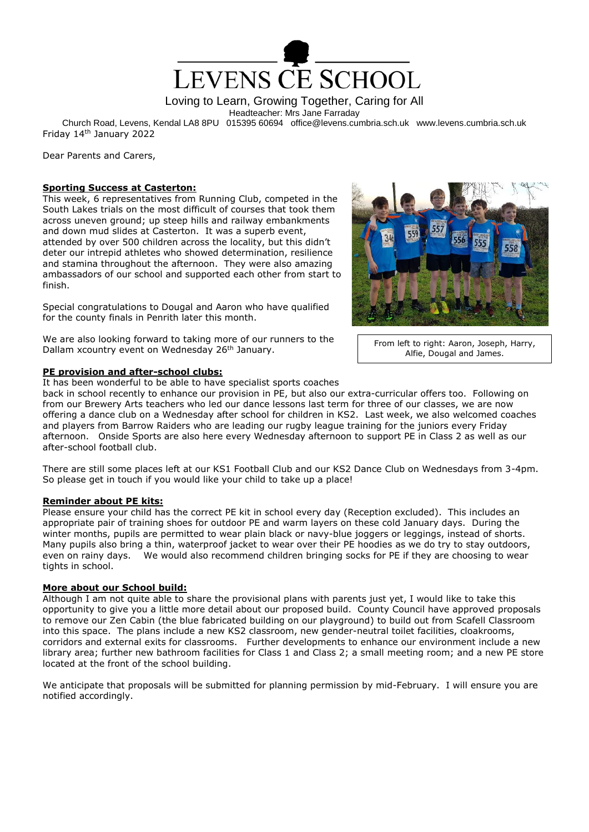

Loving to Learn, Growing Together, Caring for All

Headteacher: Mrs Jane Farraday

Church Road, Levens, Kendal LA8 8PU 015395 60694 office@levens.cumbria.sch.uk www.levens.cumbria.sch.uk Friday 14th January 2022

Dear Parents and Carers,

## **Sporting Success at Casterton:**

This week, 6 representatives from Running Club, competed in the South Lakes trials on the most difficult of courses that took them across uneven ground; up steep hills and railway embankments and down mud slides at Casterton. It was a superb event, attended by over 500 children across the locality, but this didn't deter our intrepid athletes who showed determination, resilience and stamina throughout the afternoon. They were also amazing ambassadors of our school and supported each other from start to finish.

Special congratulations to Dougal and Aaron who have qualified for the county finals in Penrith later this month.

We are also looking forward to taking more of our runners to the Dallam xcountry event on Wednesday 26<sup>th</sup> January.

## **PE provision and after-school clubs:**

It has been wonderful to be able to have specialist sports coaches

back in school recently to enhance our provision in PE, but also our extra-curricular offers too. Following on from our Brewery Arts teachers who led our dance lessons last term for three of our classes, we are now offering a dance club on a Wednesday after school for children in KS2. Last week, we also welcomed coaches and players from Barrow Raiders who are leading our rugby league training for the juniors every Friday afternoon. Onside Sports are also here every Wednesday afternoon to support PE in Class 2 as well as our after-school football club.

There are still some places left at our KS1 Football Club and our KS2 Dance Club on Wednesdays from 3-4pm. So please get in touch if you would like your child to take up a place!

# **Reminder about PE kits:**

Please ensure your child has the correct PE kit in school every day (Reception excluded). This includes an appropriate pair of training shoes for outdoor PE and warm layers on these cold January days. During the winter months, pupils are permitted to wear plain black or navy-blue joggers or leggings, instead of shorts. Many pupils also bring a thin, waterproof jacket to wear over their PE hoodies as we do try to stay outdoors, even on rainy days. We would also recommend children bringing socks for PE if they are choosing to wear tights in school.

#### **More about our School build:**

Although I am not quite able to share the provisional plans with parents just yet, I would like to take this opportunity to give you a little more detail about our proposed build. County Council have approved proposals to remove our Zen Cabin (the blue fabricated building on our playground) to build out from Scafell Classroom into this space. The plans include a new KS2 classroom, new gender-neutral toilet facilities, cloakrooms, corridors and external exits for classrooms. Further developments to enhance our environment include a new library area; further new bathroom facilities for Class 1 and Class 2; a small meeting room; and a new PE store located at the front of the school building.

We anticipate that proposals will be submitted for planning permission by mid-February. I will ensure you are notified accordingly.



From left to right: Aaron, Joseph, Harry, Alfie, Dougal and James.